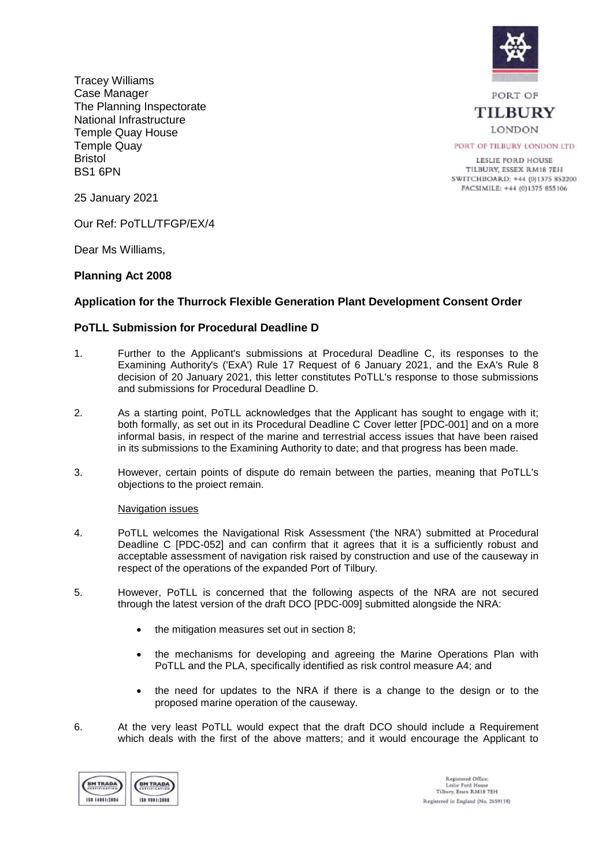

Tracey Williams Case Manager The Planning Inspectorate National Infrastructure Temple Quay House Temple Quay Bristol BS1 6PN

PORT OF **TILBURY LONDON** 

PORT OF TILBURY LONDON LTD

LESLIE FORD HOUSE TILBURY, ESSEX RM18 7EH SWITCHBOARD: +44 (0)1375 852200 FACSIMILE: +44 (0)1375 855106

25 January 2021

Our Ref: PoTLL/TFGP/EX/4

Dear Ms Williams,

# **Planning Act 2008**

# **Application for the Thurrock Flexible Generation Plant Development Consent Order**

# **PoTLL Submission for Procedural Deadline D**

- 1. Further to the Applicant's submissions at Procedural Deadline C, its responses to the Examining Authority's ('ExA') Rule 17 Request of 6 January 2021, and the ExA's Rule 8 decision of 20 January 2021, this letter constitutes PoTLL's response to those submissions and submissions for Procedural Deadline D.
- 2. As a starting point, PoTLL acknowledges that the Applicant has sought to engage with it; both formally, as set out in its Procedural Deadline C Cover letter [PDC-001] and on a more informal basis, in respect of the marine and terrestrial access issues that have been raised in its submissions to the Examining Authority to date; and that progress has been made.
- 3. However, certain points of dispute do remain between the parties, meaning that PoTLL's objections to the proiect remain.

Navigation issues

- 4. PoTLL welcomes the Navigational Risk Assessment ('the NRA') submitted at Procedural Deadline C [PDC-052] and can confirm that it agrees that it is a sufficiently robust and acceptable assessment of navigation risk raised by construction and use of the causeway in respect of the operations of the expanded Port of Tilbury.
- 5. However, PoTLL is concerned that the following aspects of the NRA are not secured through the latest version of the draft DCO [PDC-009] submitted alongside the NRA:
	- the mitigation measures set out in section 8;
	- the mechanisms for developing and agreeing the Marine Operations Plan with PoTLL and the PLA, specifically identified as risk control measure A4; and
	- the need for updates to the NRA if there is a change to the design or to the proposed marine operation of the causeway.
- 6. At the very least PoTLL would expect that the draft DCO should include a Requirement which deals with the first of the above matters; and it would encourage the Applicant to

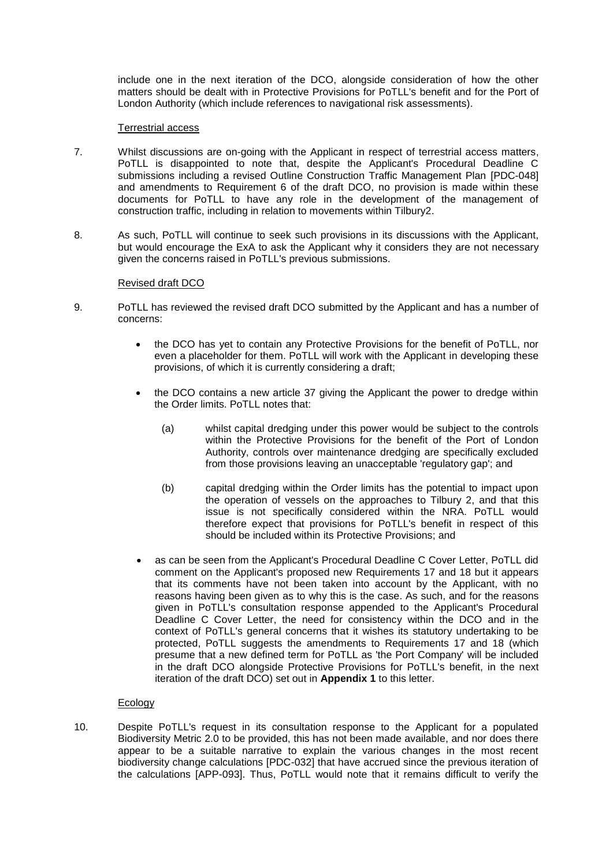include one in the next iteration of the DCO, alongside consideration of how the other matters should be dealt with in Protective Provisions for PoTLL's benefit and for the Port of London Authority (which include references to navigational risk assessments).

### Terrestrial access

- 7. Whilst discussions are on-going with the Applicant in respect of terrestrial access matters, PoTLL is disappointed to note that, despite the Applicant's Procedural Deadline C submissions including a revised Outline Construction Traffic Management Plan [PDC-048] and amendments to Requirement 6 of the draft DCO, no provision is made within these documents for PoTLL to have any role in the development of the management of construction traffic, including in relation to movements within Tilbury2.
- 8. As such, PoTLL will continue to seek such provisions in its discussions with the Applicant, but would encourage the ExA to ask the Applicant why it considers they are not necessary given the concerns raised in PoTLL's previous submissions.

### Revised draft DCO

- 9. PoTLL has reviewed the revised draft DCO submitted by the Applicant and has a number of concerns:
	- the DCO has yet to contain any Protective Provisions for the benefit of PoTLL, nor even a placeholder for them. PoTLL will work with the Applicant in developing these provisions, of which it is currently considering a draft;
	- the DCO contains a new article 37 giving the Applicant the power to dredge within the Order limits. PoTLL notes that:
		- (a) whilst capital dredging under this power would be subject to the controls within the Protective Provisions for the benefit of the Port of London Authority, controls over maintenance dredging are specifically excluded from those provisions leaving an unacceptable 'regulatory gap'; and
		- (b) capital dredging within the Order limits has the potential to impact upon the operation of vessels on the approaches to Tilbury 2, and that this issue is not specifically considered within the NRA. PoTLL would therefore expect that provisions for PoTLL's benefit in respect of this should be included within its Protective Provisions; and
	- as can be seen from the Applicant's Procedural Deadline C Cover Letter, PoTLL did comment on the Applicant's proposed new Requirements 17 and 18 but it appears that its comments have not been taken into account by the Applicant, with no reasons having been given as to why this is the case. As such, and for the reasons given in PoTLL's consultation response appended to the Applicant's Procedural Deadline C Cover Letter, the need for consistency within the DCO and in the context of PoTLL's general concerns that it wishes its statutory undertaking to be protected, PoTLL suggests the amendments to Requirements 17 and 18 (which presume that a new defined term for PoTLL as 'the Port Company' will be included in the draft DCO alongside Protective Provisions for PoTLL's benefit, in the next iteration of the draft DCO) set out in **Appendix 1** to this letter.

# Ecology

10. Despite PoTLL's request in its consultation response to the Applicant for a populated Biodiversity Metric 2.0 to be provided, this has not been made available, and nor does there appear to be a suitable narrative to explain the various changes in the most recent biodiversity change calculations [PDC-032] that have accrued since the previous iteration of the calculations [APP-093]. Thus, PoTLL would note that it remains difficult to verify the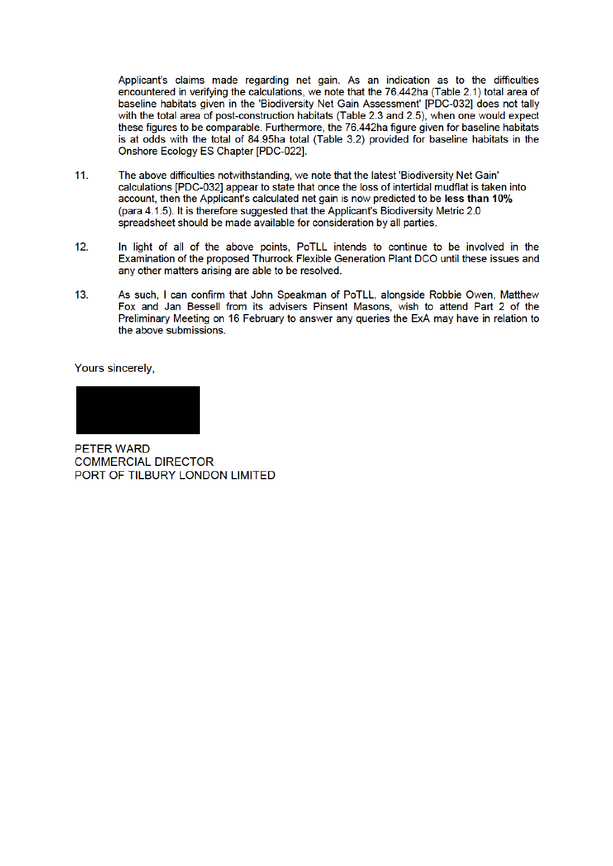Applicant's claims made regarding net gain. As an indication as to the difficulties encountered in verifying the calculations, we note that the 76.442ha (Table 2.1) total area of baseline habitats given in the 'Biodiversity Net Gain Assessment' [PDC-032] does not tally with the total area of post-construction habitats (Table 2.3 and 2.5), when one would expect these figures to be comparable. Furthermore, the 76.442ha figure given for baseline habitats is at odds with the total of 84.95ha total (Table 3.2) provided for baseline habitats in the Onshore Ecology ES Chapter [PDC-022].

- $11.$ The above difficulties notwithstanding, we note that the latest 'Biodiversity Net Gain' calculations IPDC-0321 appear to state that once the loss of intertidal mudflat is taken into account, then the Applicant's calculated net gain is now predicted to be less than 10% (para 4.1.5). It is therefore suggested that the Applicant's Biodiversity Metric 2.0 spreadsheet should be made available for consideration by all parties.
- $12<sup>12</sup>$ In light of all of the above points. PoTLL intends to continue to be involved in the Examination of the proposed Thurrock Flexible Generation Plant DCO until these issues and any other matters arising are able to be resolved.
- $13.$ As such. I can confirm that John Speakman of PoTLL, alongside Robbie Owen, Matthew Fox and Jan Bessell from its advisers Pinsent Masons, wish to attend Part 2 of the Preliminary Meeting on 16 February to answer any gueries the ExA may have in relation to the above submissions.

Yours sincerely.

PFTFR WARD **COMMERCIAL DIRECTOR** PORT OF TILBURY LONDON LIMITED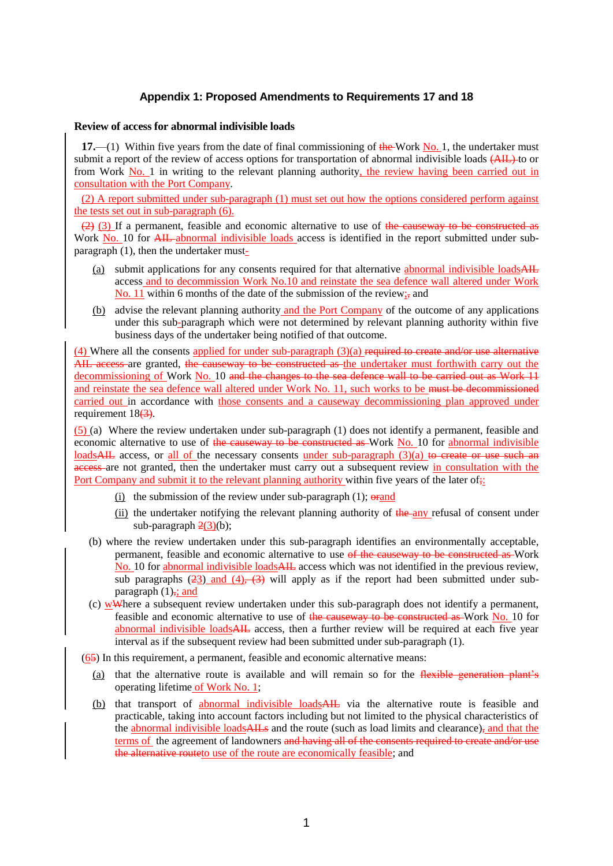# **Appendix 1: Proposed Amendments to Requirements 17 and 18**

#### **Review of access for abnormal indivisible loads**

**17.**—(1) Within five years from the date of final commissioning of the Work No. 1, the undertaker must submit a report of the review of access options for transportation of abnormal indivisible loads  $(AH)$  to or from Work No. 1 in writing to the relevant planning authority, the review having been carried out in consultation with the Port Company.

(2) A report submitted under sub-paragraph (1) must set out how the options considered perform against the tests set out in sub-paragraph (6).

 $(2)$  (3) If a permanent, feasible and economic alternative to use of the cause way to be constructed as Work No. 10 for AIL abnormal indivisible loads access is identified in the report submitted under subparagraph (1), then the undertaker must-

- (a) submit applications for any consents required for that alternative abnormal indivisible loads $\overrightarrow{AH}$ access and to decommission Work No.10 and reinstate the sea defence wall altered under Work No. 11 within 6 months of the date of the submission of the review; and
- (b) advise the relevant planning authority and the Port Company of the outcome of any applications under this sub-paragraph which were not determined by relevant planning authority within five business days of the undertaker being notified of that outcome.

(4) Where all the consents applied for under sub-paragraph (3)(a) required to create and/or use alternative AIL access are granted, the causeway to be constructed as the undertaker must forthwith carry out the decommissioning of Work No. 10 and the changes to the sea defence wall to be carried out as Work 11 and reinstate the sea defence wall altered under Work No. 11, such works to be must be decommissioned carried out in accordance with those consents and a causeway decommissioning plan approved under requirement  $18(3)$ .

(5) (a) Where the review undertaken under sub-paragraph (1) does not identify a permanent, feasible and economic alternative to use of the causeway to be constructed as Work No. 10 for abnormal indivisible loadsAIL access, or all of the necessary consents under sub-paragraph (3)(a) to create or use such an access are not granted, then the undertaker must carry out a subsequent review in consultation with the Port Company and submit it to the relevant planning authority within five years of the later of.

- (i) the submission of the review under sub-paragraph  $(1)$ ;  $\theta$  and
- (ii) the undertaker notifying the relevant planning authority of the any refusal of consent under sub-paragraph  $2(3)(b)$ ;
- (b) where the review undertaken under this sub-paragraph identifies an environmentally acceptable, permanent, feasible and economic alternative to use of the causeway to be constructed as Work No. 10 for abnormal indivisible loads AIL access which was not identified in the previous review, sub paragraphs  $(23)$  and  $(4)$ ,  $(3)$  will apply as if the report had been submitted under subparagraph  $(1)$ , and
- (c) wWhere a subsequent review undertaken under this sub-paragraph does not identify a permanent, feasible and economic alternative to use of the causeway to be constructed as Work No. 10 for abnormal indivisible loadsAIL access, then a further review will be required at each five year interval as if the subsequent review had been submitted under sub-paragraph (1).

(65) In this requirement, a permanent, feasible and economic alternative means:

- (a) that the alternative route is available and will remain so for the flexible generation plant's operating lifetime of Work No. 1;
- (b) that transport of abnormal indivisible loadsAIL via the alternative route is feasible and practicable, taking into account factors including but not limited to the physical characteristics of the abnormal indivisible loadsAILs and the route (such as load limits and clearance), and that the terms of the agreement of landowners and having all of the consents required to create and/or use the alternative route to use of the route are economically feasible; and